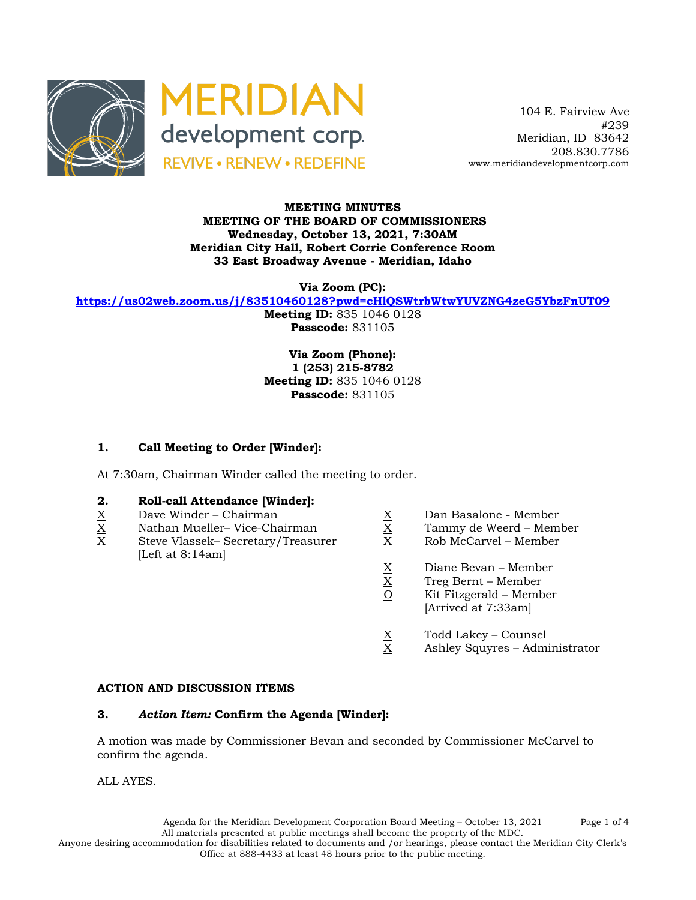



 104 E. Fairview Ave #239 Meridian, ID 83642 208.830.7786 www.meridiandevelopmentcorp.com

### **MEETING MINUTES MEETING OF THE BOARD OF COMMISSIONERS Wednesday, October 13, 2021, 7:30AM Meridian City Hall, Robert Corrie Conference Room 33 East Broadway Avenue - Meridian, Idaho**

**Via Zoom (PC):**

**https://us02web.zoom.us/j/83510460128?pwd=cHlQSWtrbWtwYUVZNG4zeG5YbzFnUT09**

**Meeting ID:** 835 1046 0128 **Passcode:** 831105

**Via Zoom (Phone): 1 (253) 215-8782 Meeting ID:** 835 1046 0128 **Passcode:** 831105

# **1. Call Meeting to Order [Winder]:**

At 7:30am, Chairman Winder called the meeting to order.

# **2. Roll-call Attendance [Winder]:**

- 
- 
- $X$  Dave Winder Chairman  $X$  Dan Basalone Member<br>
X Dan Basalone Member<br>
X Tammy de Weerd Mem<br>
X Rob McCarvel Member X Steve Vlassek– Secretary/Treasurer X Rob McCarvel – Member [Left at 8:14am]
	-
	- X Nathan Mueller– Vice-Chairman X Tammy de Weerd Member
		-
		-
		- X Treg Bernt Member
		- $X = \begin{cases} \frac{X}{2} & \text{Diane Bevan} \text{Member} \\ \frac{X}{2} & \text{Kit Fitzgerald} \text{Member} \end{cases}$ Kit Fitzgerald – Member [Arrived at 7:33am]
		-
		- $\frac{X}{X}$  Todd Lakey Counsel<br>X Ashley Squyres Adm Ashley Squyres – Administrator

# **ACTION AND DISCUSSION ITEMS**

# **3.** *Action Item:* **Confirm the Agenda [Winder]:**

A motion was made by Commissioner Bevan and seconded by Commissioner McCarvel to confirm the agenda.

ALL AYES.

Agenda for the Meridian Development Corporation Board Meeting – October 13, 2021 Page 1 of 4 All materials presented at public meetings shall become the property of the MDC.

Anyone desiring accommodation for disabilities related to documents and /or hearings, please contact the Meridian City Clerk's Office at 888-4433 at least 48 hours prior to the public meeting.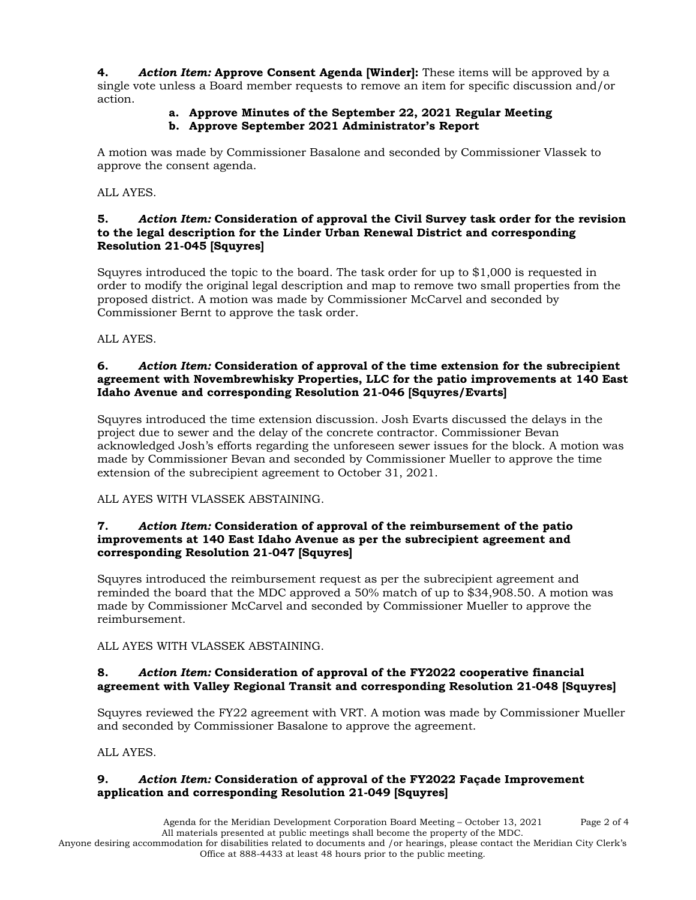**4.** *Action Item:* **Approve Consent Agenda [Winder]:** These items will be approved by a single vote unless a Board member requests to remove an item for specific discussion and/or action.

# **a. Approve Minutes of the September 22, 2021 Regular Meeting**

**b. Approve September 2021 Administrator's Report**

A motion was made by Commissioner Basalone and seconded by Commissioner Vlassek to approve the consent agenda.

ALL AYES.

# **5.** *Action Item:* **Consideration of approval the Civil Survey task order for the revision to the legal description for the Linder Urban Renewal District and corresponding Resolution 21-045 [Squyres]**

Squyres introduced the topic to the board. The task order for up to \$1,000 is requested in order to modify the original legal description and map to remove two small properties from the proposed district. A motion was made by Commissioner McCarvel and seconded by Commissioner Bernt to approve the task order.

ALL AYES.

# **6.** *Action Item:* **Consideration of approval of the time extension for the subrecipient agreement with Novembrewhisky Properties, LLC for the patio improvements at 140 East Idaho Avenue and corresponding Resolution 21-046 [Squyres/Evarts]**

Squyres introduced the time extension discussion. Josh Evarts discussed the delays in the project due to sewer and the delay of the concrete contractor. Commissioner Bevan acknowledged Josh's efforts regarding the unforeseen sewer issues for the block. A motion was made by Commissioner Bevan and seconded by Commissioner Mueller to approve the time extension of the subrecipient agreement to October 31, 2021.

ALL AYES WITH VLASSEK ABSTAINING.

# **7.** *Action Item:* **Consideration of approval of the reimbursement of the patio improvements at 140 East Idaho Avenue as per the subrecipient agreement and corresponding Resolution 21-047 [Squyres]**

Squyres introduced the reimbursement request as per the subrecipient agreement and reminded the board that the MDC approved a 50% match of up to \$34,908.50. A motion was made by Commissioner McCarvel and seconded by Commissioner Mueller to approve the reimbursement.

ALL AYES WITH VLASSEK ABSTAINING.

# **8.** *Action Item:* **Consideration of approval of the FY2022 cooperative financial agreement with Valley Regional Transit and corresponding Resolution 21-048 [Squyres]**

Squyres reviewed the FY22 agreement with VRT. A motion was made by Commissioner Mueller and seconded by Commissioner Basalone to approve the agreement.

ALL AYES.

# **9.** *Action Item:* **Consideration of approval of the FY2022 Façade Improvement application and corresponding Resolution 21-049 [Squyres]**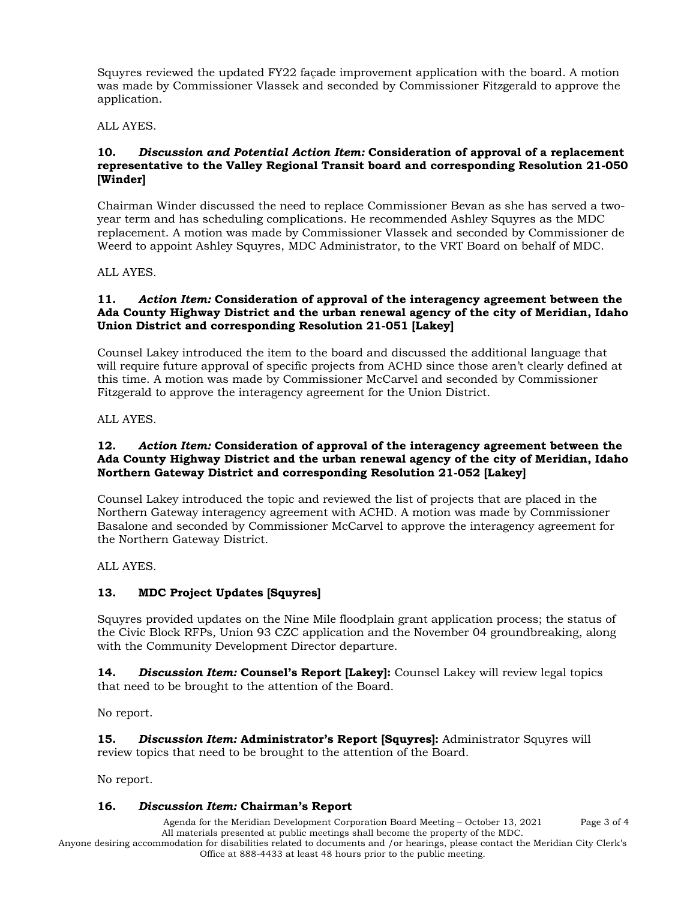Squyres reviewed the updated FY22 façade improvement application with the board. A motion was made by Commissioner Vlassek and seconded by Commissioner Fitzgerald to approve the application.

ALL AYES.

#### **10.** *Discussion and Potential Action Item:* **Consideration of approval of a replacement representative to the Valley Regional Transit board and corresponding Resolution 21-050 [Winder]**

Chairman Winder discussed the need to replace Commissioner Bevan as she has served a twoyear term and has scheduling complications. He recommended Ashley Squyres as the MDC replacement. A motion was made by Commissioner Vlassek and seconded by Commissioner de Weerd to appoint Ashley Squyres, MDC Administrator, to the VRT Board on behalf of MDC.

ALL AYES.

#### **11.** *Action Item:* **Consideration of approval of the interagency agreement between the Ada County Highway District and the urban renewal agency of the city of Meridian, Idaho Union District and corresponding Resolution 21-051 [Lakey]**

Counsel Lakey introduced the item to the board and discussed the additional language that will require future approval of specific projects from ACHD since those aren't clearly defined at this time. A motion was made by Commissioner McCarvel and seconded by Commissioner Fitzgerald to approve the interagency agreement for the Union District.

ALL AYES.

#### **12.** *Action Item:* **Consideration of approval of the interagency agreement between the Ada County Highway District and the urban renewal agency of the city of Meridian, Idaho Northern Gateway District and corresponding Resolution 21-052 [Lakey]**

Counsel Lakey introduced the topic and reviewed the list of projects that are placed in the Northern Gateway interagency agreement with ACHD. A motion was made by Commissioner Basalone and seconded by Commissioner McCarvel to approve the interagency agreement for the Northern Gateway District.

ALL AYES.

# **13. MDC Project Updates [Squyres]**

Squyres provided updates on the Nine Mile floodplain grant application process; the status of the Civic Block RFPs, Union 93 CZC application and the November 04 groundbreaking, along with the Community Development Director departure.

**14.** *Discussion Item:* **Counsel's Report [Lakey]:** Counsel Lakey will review legal topics that need to be brought to the attention of the Board.

No report.

**15.** *Discussion Item:* **Administrator's Report [Squyres]:** Administrator Squyres will review topics that need to be brought to the attention of the Board.

No report.

# **16.** *Discussion Item:* **Chairman's Report**

Agenda for the Meridian Development Corporation Board Meeting – October 13, 2021 Page 3 of 4 All materials presented at public meetings shall become the property of the MDC.

Anyone desiring accommodation for disabilities related to documents and /or hearings, please contact the Meridian City Clerk's Office at 888-4433 at least 48 hours prior to the public meeting.